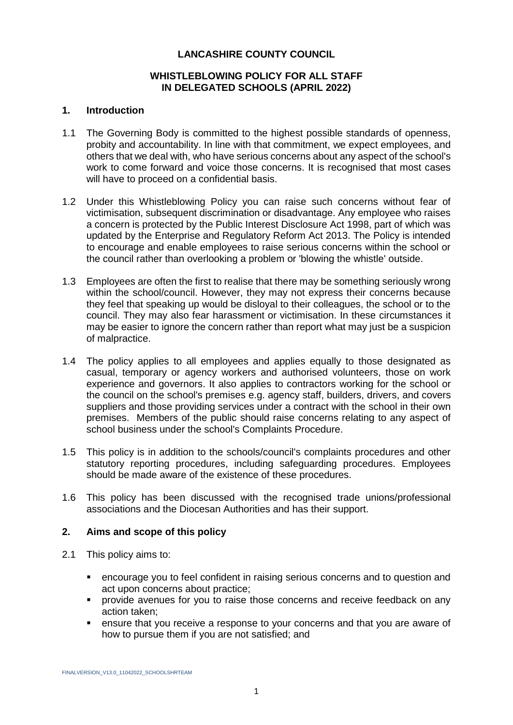### **LANCASHIRE COUNTY COUNCIL**

### **WHISTLEBLOWING POLICY FOR ALL STAFF IN DELEGATED SCHOOLS (APRIL 2022)**

#### **1. Introduction**

- 1.1 The Governing Body is committed to the highest possible standards of openness, probity and accountability. In line with that commitment, we expect employees, and others that we deal with, who have serious concerns about any aspect of the school's work to come forward and voice those concerns. It is recognised that most cases will have to proceed on a confidential basis.
- 1.2 Under this Whistleblowing Policy you can raise such concerns without fear of victimisation, subsequent discrimination or disadvantage. Any employee who raises a concern is protected by the Public Interest Disclosure Act 1998, part of which was updated by the Enterprise and Regulatory Reform Act 2013. The Policy is intended to encourage and enable employees to raise serious concerns within the school or the council rather than overlooking a problem or 'blowing the whistle' outside.
- 1.3 Employees are often the first to realise that there may be something seriously wrong within the school/council. However, they may not express their concerns because they feel that speaking up would be disloyal to their colleagues, the school or to the council. They may also fear harassment or victimisation. In these circumstances it may be easier to ignore the concern rather than report what may just be a suspicion of malpractice.
- 1.4 The policy applies to all employees and applies equally to those designated as casual, temporary or agency workers and authorised volunteers, those on work experience and governors. It also applies to contractors working for the school or the council on the school's premises e.g. agency staff, builders, drivers, and covers suppliers and those providing services under a contract with the school in their own premises. Members of the public should raise concerns relating to any aspect of school business under the school's Complaints Procedure.
- 1.5 This policy is in addition to the schools/council's complaints procedures and other statutory reporting procedures, including safeguarding procedures. Employees should be made aware of the existence of these procedures.
- 1.6 This policy has been discussed with the recognised trade unions/professional associations and the Diocesan Authorities and has their support.

#### **2. Aims and scope of this policy**

- 2.1 This policy aims to:
	- encourage you to feel confident in raising serious concerns and to question and act upon concerns about practice;
	- provide avenues for you to raise those concerns and receive feedback on any action taken;
	- ensure that you receive a response to your concerns and that you are aware of how to pursue them if you are not satisfied; and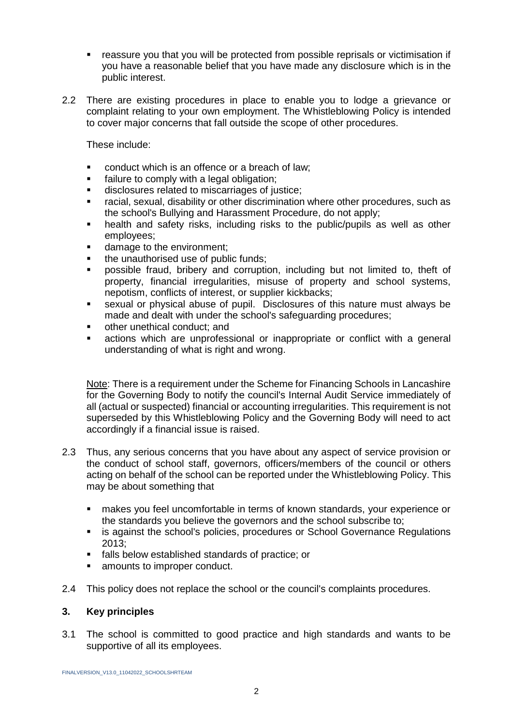- reassure you that you will be protected from possible reprisals or victimisation if you have a reasonable belief that you have made any disclosure which is in the public interest.
- 2.2 There are existing procedures in place to enable you to lodge a grievance or complaint relating to your own employment. The Whistleblowing Policy is intended to cover major concerns that fall outside the scope of other procedures.

These include:

- conduct which is an offence or a breach of law;
- failure to comply with a legal obligation;
- disclosures related to miscarriages of justice;
- racial, sexual, disability or other discrimination where other procedures, such as the school's Bullying and Harassment Procedure, do not apply;
- health and safety risks, including risks to the public/pupils as well as other employees;
- damage to the environment;
- the unauthorised use of public funds;
- possible fraud, bribery and corruption, including but not limited to, theft of property, financial irregularities, misuse of property and school systems, nepotism, conflicts of interest, or supplier kickbacks;
- sexual or physical abuse of pupil. Disclosures of this nature must always be made and dealt with under the school's safeguarding procedures;
- other unethical conduct; and
- actions which are unprofessional or inappropriate or conflict with a general understanding of what is right and wrong.

Note: There is a requirement under the Scheme for Financing Schools in Lancashire for the Governing Body to notify the council's Internal Audit Service immediately of all (actual or suspected) financial or accounting irregularities. This requirement is not superseded by this Whistleblowing Policy and the Governing Body will need to act accordingly if a financial issue is raised.

- 2.3 Thus, any serious concerns that you have about any aspect of service provision or the conduct of school staff, governors, officers/members of the council or others acting on behalf of the school can be reported under the Whistleblowing Policy. This may be about something that
	- makes you feel uncomfortable in terms of known standards, your experience or the standards you believe the governors and the school subscribe to;
	- is against the school's policies, procedures or School Governance Regulations 2013;
	- falls below established standards of practice; or
	- amounts to improper conduct.
- 2.4 This policy does not replace the school or the council's complaints procedures.

# **3. Key principles**

3.1 The school is committed to good practice and high standards and wants to be supportive of all its employees.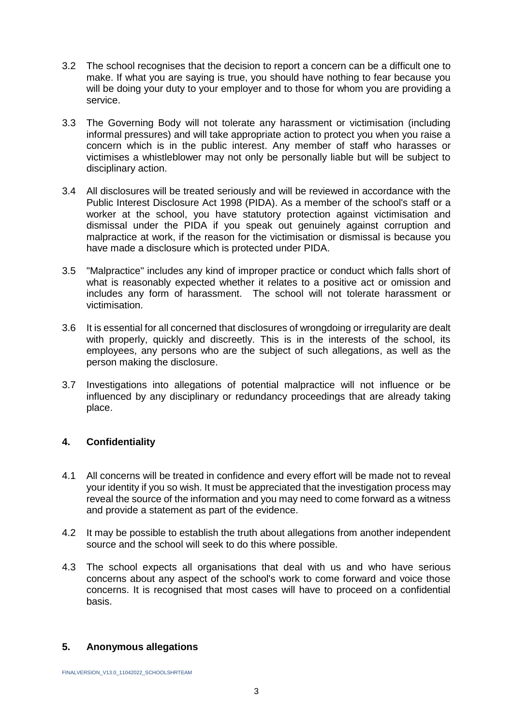- 3.2 The school recognises that the decision to report a concern can be a difficult one to make. If what you are saying is true, you should have nothing to fear because you will be doing your duty to your employer and to those for whom you are providing a service.
- 3.3 The Governing Body will not tolerate any harassment or victimisation (including informal pressures) and will take appropriate action to protect you when you raise a concern which is in the public interest. Any member of staff who harasses or victimises a whistleblower may not only be personally liable but will be subject to disciplinary action.
- 3.4 All disclosures will be treated seriously and will be reviewed in accordance with the Public Interest Disclosure Act 1998 (PIDA). As a member of the school's staff or a worker at the school, you have statutory protection against victimisation and dismissal under the PIDA if you speak out genuinely against corruption and malpractice at work, if the reason for the victimisation or dismissal is because you have made a disclosure which is protected under PIDA.
- 3.5 "Malpractice" includes any kind of improper practice or conduct which falls short of what is reasonably expected whether it relates to a positive act or omission and includes any form of harassment. The school will not tolerate harassment or victimisation.
- 3.6 It is essential for all concerned that disclosures of wrongdoing or irregularity are dealt with properly, quickly and discreetly. This is in the interests of the school, its employees, any persons who are the subject of such allegations, as well as the person making the disclosure.
- 3.7 Investigations into allegations of potential malpractice will not influence or be influenced by any disciplinary or redundancy proceedings that are already taking place.

# **4. Confidentiality**

- 4.1 All concerns will be treated in confidence and every effort will be made not to reveal your identity if you so wish. It must be appreciated that the investigation process may reveal the source of the information and you may need to come forward as a witness and provide a statement as part of the evidence.
- 4.2 It may be possible to establish the truth about allegations from another independent source and the school will seek to do this where possible.
- 4.3 The school expects all organisations that deal with us and who have serious concerns about any aspect of the school's work to come forward and voice those concerns. It is recognised that most cases will have to proceed on a confidential basis.

# **5. Anonymous allegations**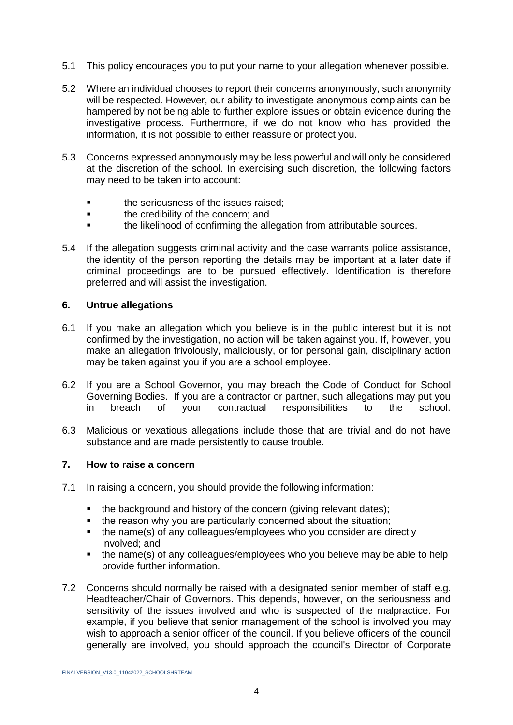- 5.1 This policy encourages you to put your name to your allegation whenever possible.
- 5.2 Where an individual chooses to report their concerns anonymously, such anonymity will be respected. However, our ability to investigate anonymous complaints can be hampered by not being able to further explore issues or obtain evidence during the investigative process. Furthermore, if we do not know who has provided the information, it is not possible to either reassure or protect you.
- 5.3 Concerns expressed anonymously may be less powerful and will only be considered at the discretion of the school. In exercising such discretion, the following factors may need to be taken into account:
	- **the seriousness of the issues raised:**
	- **the credibility of the concern; and**
	- the likelihood of confirming the allegation from attributable sources.
- 5.4 If the allegation suggests criminal activity and the case warrants police assistance, the identity of the person reporting the details may be important at a later date if criminal proceedings are to be pursued effectively. Identification is therefore preferred and will assist the investigation.

#### **6. Untrue allegations**

- 6.1 If you make an allegation which you believe is in the public interest but it is not confirmed by the investigation, no action will be taken against you. If, however, you make an allegation frivolously, maliciously, or for personal gain, disciplinary action may be taken against you if you are a school employee.
- 6.2 If you are a School Governor, you may breach the Code of Conduct for School Governing Bodies. If you are a contractor or partner, such allegations may put you in breach of your contractual responsibilities to the school.
- 6.3 Malicious or vexatious allegations include those that are trivial and do not have substance and are made persistently to cause trouble.

#### **7. How to raise a concern**

- 7.1 In raising a concern, you should provide the following information:
	- the background and history of the concern (giving relevant dates);
	- the reason why you are particularly concerned about the situation;
	- the name(s) of any colleagues/employees who you consider are directly involved; and
	- the name(s) of any colleagues/employees who you believe may be able to help provide further information.
- 7.2 Concerns should normally be raised with a designated senior member of staff e.g. Headteacher/Chair of Governors. This depends, however, on the seriousness and sensitivity of the issues involved and who is suspected of the malpractice. For example, if you believe that senior management of the school is involved you may wish to approach a senior officer of the council. If you believe officers of the council generally are involved, you should approach the council's Director of Corporate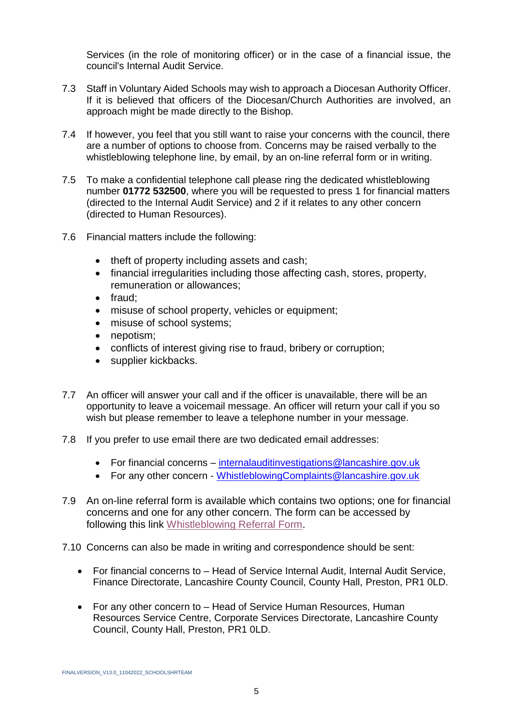Services (in the role of monitoring officer) or in the case of a financial issue, the council's Internal Audit Service.

- 7.3 Staff in Voluntary Aided Schools may wish to approach a Diocesan Authority Officer. If it is believed that officers of the Diocesan/Church Authorities are involved, an approach might be made directly to the Bishop.
- 7.4 If however, you feel that you still want to raise your concerns with the council, there are a number of options to choose from. Concerns may be raised verbally to the whistleblowing telephone line, by email, by an on-line referral form or in writing.
- 7.5 To make a confidential telephone call please ring the dedicated whistleblowing number **01772 532500**, where you will be requested to press 1 for financial matters (directed to the Internal Audit Service) and 2 if it relates to any other concern (directed to Human Resources).
- 7.6 Financial matters include the following:
	- theft of property including assets and cash;
	- financial irregularities including those affecting cash, stores, property, remuneration or allowances;
	- $\bullet$  fraud:
	- misuse of school property, vehicles or equipment;
	- misuse of school systems;
	- nepotism:
	- conflicts of interest giving rise to fraud, bribery or corruption;
	- supplier kickbacks.
- 7.7 An officer will answer your call and if the officer is unavailable, there will be an opportunity to leave a voicemail message. An officer will return your call if you so wish but please remember to leave a telephone number in your message.
- 7.8 If you prefer to use email there are two dedicated email addresses:
	- For financial concerns [internalauditinvestigations@lancashire.gov.uk](mailto:internalauditinvestigations@lancashire.gov.uk)
	- For any other concern [WhistleblowingComplaints@lancashire.gov.uk](mailto:WhistleblowingComplaints@lancashire.gov.uk)
- 7.9 An on-line referral form is available which contains two options; one for financial concerns and one for any other concern. The form can be accessed by following this link [Whistleblowing Referral Form.](https://lancashire-self.achieveservice.com/service/Whistle_Blowing_Referral)
- 7.10 Concerns can also be made in writing and correspondence should be sent:
	- For financial concerns to Head of Service Internal Audit, Internal Audit Service, Finance Directorate, Lancashire County Council, County Hall, Preston, PR1 0LD.
	- For any other concern to Head of Service Human Resources, Human Resources Service Centre, Corporate Services Directorate, Lancashire County Council, County Hall, Preston, PR1 0LD.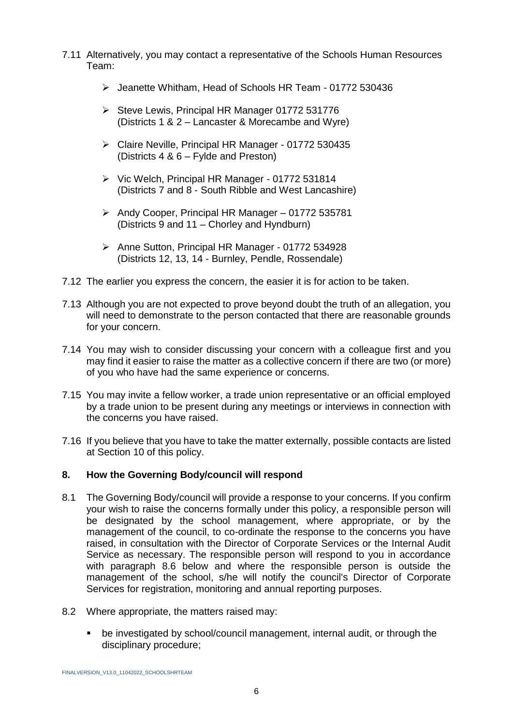- 7.11 Alternatively, you may contact a representative of the Schools Human Resources Team:
	- Jeanette Whitham, Head of Schools HR Team 01772 530436
	- $\triangleright$  Steve Lewis, Principal HR Manager 01772 531776 (Districts 1 & 2 – Lancaster & Morecambe and Wyre)
	- Claire Neville, Principal HR Manager 01772 530435 (Districts 4 & 6 – Fylde and Preston)
	- Vic Welch, Principal HR Manager 01772 531814 (Districts 7 and 8 - South Ribble and West Lancashire)
	- $\triangleright$  Andy Cooper, Principal HR Manager 01772 535781 (Districts 9 and 11 – Chorley and Hyndburn)
	- ▶ Anne Sutton, Principal HR Manager 01772 534928 (Districts 12, 13, 14 - Burnley, Pendle, Rossendale)
- 7.12 The earlier you express the concern, the easier it is for action to be taken.
- 7.13 Although you are not expected to prove beyond doubt the truth of an allegation, you will need to demonstrate to the person contacted that there are reasonable grounds for your concern.
- 7.14 You may wish to consider discussing your concern with a colleague first and you may find it easier to raise the matter as a collective concern if there are two (or more) of you who have had the same experience or concerns.
- 7.15 You may invite a fellow worker, a trade union representative or an official employed by a trade union to be present during any meetings or interviews in connection with the concerns you have raised.
- 7.16 If you believe that you have to take the matter externally, possible contacts are listed at Section 10 of this policy.

# **8. How the Governing Body/council will respond**

- 8.1 The Governing Body/council will provide a response to your concerns. If you confirm your wish to raise the concerns formally under this policy, a responsible person will be designated by the school management, where appropriate, or by the management of the council, to co-ordinate the response to the concerns you have raised, in consultation with the Director of Corporate Services or the Internal Audit Service as necessary. The responsible person will respond to you in accordance with paragraph 8.6 below and where the responsible person is outside the management of the school, s/he will notify the council's Director of Corporate Services for registration, monitoring and annual reporting purposes.
- 8.2 Where appropriate, the matters raised may:
	- be investigated by school/council management, internal audit, or through the disciplinary procedure;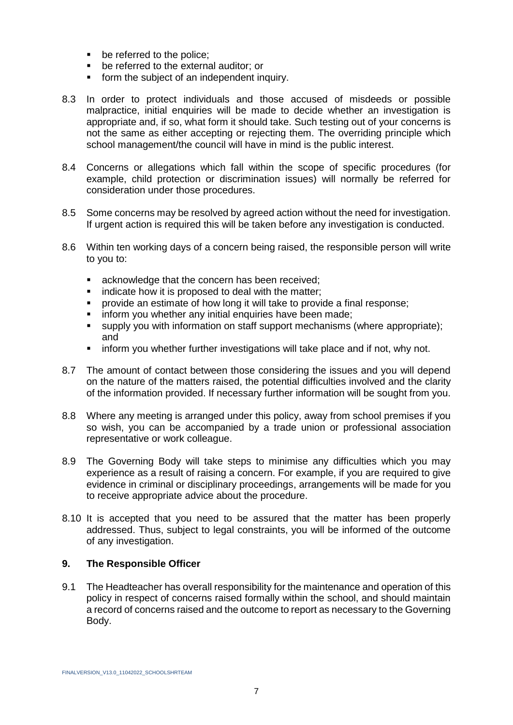- **•** be referred to the police;
- **•** be referred to the external auditor; or
- **form the subject of an independent inquiry.**
- 8.3 In order to protect individuals and those accused of misdeeds or possible malpractice, initial enquiries will be made to decide whether an investigation is appropriate and, if so, what form it should take. Such testing out of your concerns is not the same as either accepting or rejecting them. The overriding principle which school management/the council will have in mind is the public interest.
- 8.4 Concerns or allegations which fall within the scope of specific procedures (for example, child protection or discrimination issues) will normally be referred for consideration under those procedures.
- 8.5 Some concerns may be resolved by agreed action without the need for investigation. If urgent action is required this will be taken before any investigation is conducted.
- 8.6 Within ten working days of a concern being raised, the responsible person will write to you to:
	- **EXE** acknowledge that the concern has been received;
	- indicate how it is proposed to deal with the matter;
	- provide an estimate of how long it will take to provide a final response;
	- inform you whether any initial enquiries have been made:
	- supply you with information on staff support mechanisms (where appropriate); and
	- inform you whether further investigations will take place and if not, why not.
- 8.7 The amount of contact between those considering the issues and you will depend on the nature of the matters raised, the potential difficulties involved and the clarity of the information provided. If necessary further information will be sought from you.
- 8.8 Where any meeting is arranged under this policy, away from school premises if you so wish, you can be accompanied by a trade union or professional association representative or work colleague.
- 8.9 The Governing Body will take steps to minimise any difficulties which you may experience as a result of raising a concern. For example, if you are required to give evidence in criminal or disciplinary proceedings, arrangements will be made for you to receive appropriate advice about the procedure.
- 8.10 It is accepted that you need to be assured that the matter has been properly addressed. Thus, subject to legal constraints, you will be informed of the outcome of any investigation.

### **9. The Responsible Officer**

9.1 The Headteacher has overall responsibility for the maintenance and operation of this policy in respect of concerns raised formally within the school, and should maintain a record of concerns raised and the outcome to report as necessary to the Governing Body.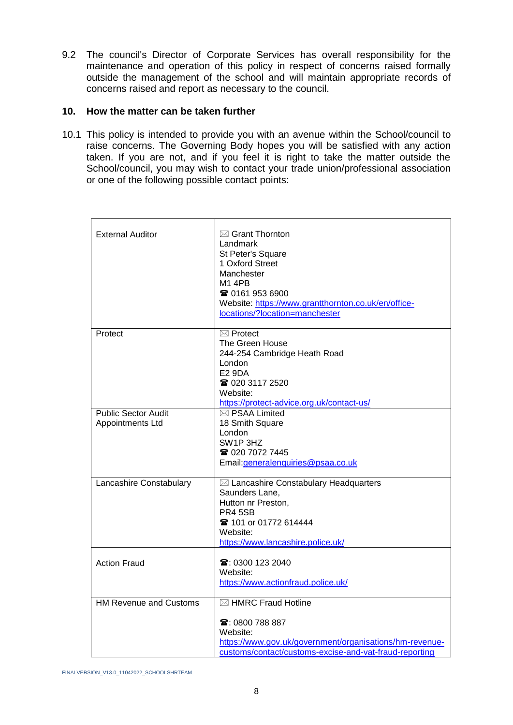9.2 The council's Director of Corporate Services has overall responsibility for the maintenance and operation of this policy in respect of concerns raised formally outside the management of the school and will maintain appropriate records of concerns raised and report as necessary to the council.

### **10. How the matter can be taken further**

10.1 This policy is intended to provide you with an avenue within the School/council to raise concerns. The Governing Body hopes you will be satisfied with any action taken. If you are not, and if you feel it is right to take the matter outside the School/council, you may wish to contact your trade union/professional association or one of the following possible contact points:

| <b>External Auditor</b>                        | $\boxtimes$ Grant Thornton<br>Landmark<br>St Peter's Square<br>1 Oxford Street<br>Manchester<br><b>M1 4PB</b><br><b>雷 0161 953 6900</b><br>Website: https://www.grantthornton.co.uk/en/office-<br>locations/?location=manchester |
|------------------------------------------------|----------------------------------------------------------------------------------------------------------------------------------------------------------------------------------------------------------------------------------|
| Protect                                        | $\boxtimes$ Protect<br>The Green House<br>244-254 Cambridge Heath Road<br>London<br><b>E2 9DA</b><br>☎ 020 3117 2520<br>Website:<br>https://protect-advice.org.uk/contact-us/                                                    |
| <b>Public Sector Audit</b><br>Appointments Ltd | ⊠ PSAA Limited<br>18 Smith Square<br>London<br>SW1P3HZ<br>☎ 020 7072 7445<br>Email: generalenquiries@psaa.co.uk                                                                                                                  |
| Lancashire Constabulary                        | ⊠ Lancashire Constabulary Headquarters<br>Saunders Lane,<br>Hutton nr Preston,<br>PR4 5SB<br><b>雷 101 or 01772 614444</b><br>Website:<br>https://www.lancashire.police.uk/                                                       |
| <b>Action Fraud</b>                            | $\mathbf{\widehat{a}}$ : 0300 123 2040<br>Website:<br>https://www.actionfraud.police.uk/                                                                                                                                         |
| <b>HM Revenue and Customs</b>                  | ⊠ HMRC Fraud Hotline<br>☎: 0800 788 887<br>Website:<br>https://www.gov.uk/government/organisations/hm-revenue-<br>customs/contact/customs-excise-and-vat-fraud-reporting                                                         |

FINALVERSION\_V13.0\_11042022\_SCHOOLSHRTEAM